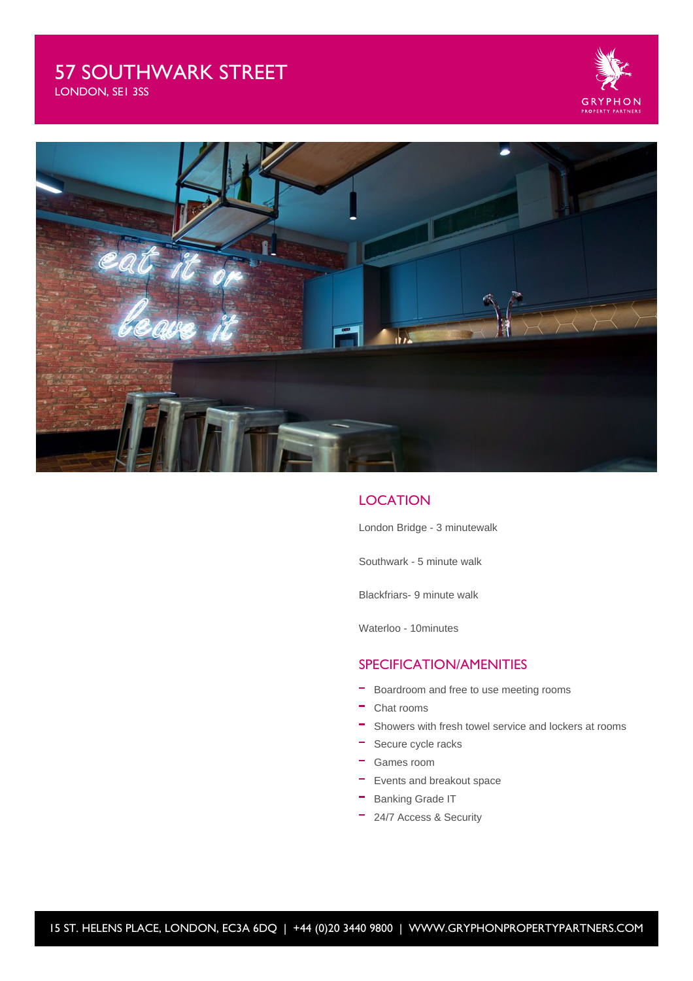# 57 SOUTHWARK STREET

G F





## **LOCATION**

London Bridge - 3 minutewalk

Southwark - 5 minute walk

Blackfriars- 9 minute walk

Waterloo - 10minutes

### SPECIFICATION/AMENITIES

- $\overline{\phantom{a}}$  Boardroom and free to use meeting rooms
- Chat rooms
- Showers with fresh towel service and lockers at rooms
- Secure cycle racks
- Games room
- **Events and breakout space**
- **Banking Grade IT**
- <sup>-</sup> 24/7 Access & Security